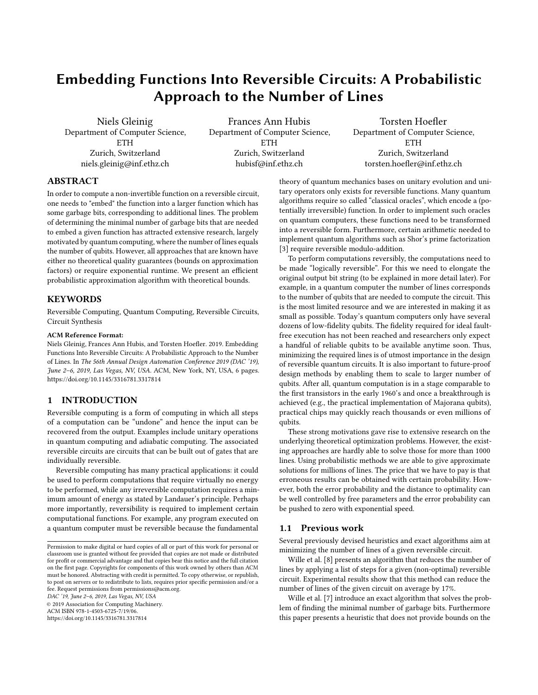# **Embedding Functions Into Reversible Circuits: A Probabilistic Approach to the Number of Lines**

Niels Gleinig Department of Computer Science, **ETH** Zurich, Switzerland niels.gleinig@inf.ethz.ch

Frances Ann Hubis Department of Computer Science, **ETH** Zurich, Switzerland hubisf@inf.ethz.ch

Torsten Hoefler Department of Computer Science, ETH Zurich, Switzerland torsten.hoefler@inf.ethz.ch

# **ABSTRACT**

In order to compute a non-invertible function on a reversible circuit, one needs to "embed" the function into a larger function which has some garbage bits, corresponding to additional lines. The problem of determining the minimal number of garbage bits that are needed to embed a given function has attracted extensive research, largely motivated by quantum computing, where the number of lines equals the number of qubits. However, all approaches that are known have either no theoretical quality guarantees (bounds on approximation factors) or require exponential runtime. We present an efficient probabilistic approximation algorithm with theoretical bounds.

# **KEYWORDS**

Reversible Computing, Quantum Computing, Reversible Circuits, Circuit Synthesis

### **ACM Reference Format:**

Niels Gleinig, Frances Ann Hubis, and Torsten Hoefler. 2019. Embedding Functions Into Reversible Circuits: A Probabilistic Approach to the Number of Lines. In The 56th Annual Design Automation Conference 2019 (DAC '19), June 2–6, 2019, Las Vegas, NV, USA. ACM, New York, NY, USA, 6 pages. https://doi.org/10.1145/3316781.3317814

# **1 INTRODUCTION**

Reversible computing is a form of computing in which all steps of a computation can be "undone" and hence the input can be recovered from the output. Examples include unitary operations in quantum computing and adiabatic computing. The associated reversible circuits are circuits that can be built out of gates that are individually reversible.

Reversible computing has many practical applications: it could be used to perform computations that require virtually no energy to be performed, while any irreversible computation requires a minimum amount of energy as stated by Landauer's principle. Perhaps more importantly, reversibility is required to implement certain computational functions. For example, any program executed on a quantum computer must be reversible because the fundamental

DAC '19, June 2–6, 2019, Las Vegas, NV, USA

© 2019 Association for Computing Machinery.

ACM ISBN 978-1-4503-6725-7/19/06. https://doi.org/10.1145/3316781.3317814 theory of quantum mechanics bases on unitary evolution and unitary operators only exists for reversible functions. Many quantum algorithms require so called "classical oracles", which encode a (potentially irreversible) function. In order to implement such oracles on quantum computers, these functions need to be transformed into a reversible form. Furthermore, certain arithmetic needed to implement quantum algorithms such as Shor's prime factorization [3] require reversible modulo-addition.

To perform computations reversibly, the computations need to be made "logically reversible". For this we need to elongate the original output bit string (to be explained in more detail later). For example, in a quantum computer the number of lines corresponds to the number of qubits that are needed to compute the circuit. This is the most limited resource and we are interested in making it as small as possible. Today's quantum computers only have several dozens of low-fidelity qubits. The fidelity required for ideal faultfree execution has not been reached and researchers only expect a handful of reliable qubits to be available anytime soon. Thus, minimizing the required lines is of utmost importance in the design of reversible quantum circuits. It is also important to future-proof design methods by enabling them to scale to larger number of qubits. After all, quantum computation is in a stage comparable to the first transistors in the early 1960's and once a breakthrough is achieved (e.g., the practical implementation of Majorana qubits), practical chips may quickly reach thousands or even millions of qubits.

These strong motivations gave rise to extensive research on the underlying theoretical optimization problems. However, the existing approaches are hardly able to solve those for more than 1000 lines. Using probabilistic methods we are able to give approximate solutions for millions of lines. The price that we have to pay is that erroneous results can be obtained with certain probability. However, both the error probability and the distance to optimality can be well controlled by free parameters and the error probability can be pushed to zero with exponential speed.

### **1.1 Previous work**

Several previously devised heuristics and exact algorithms aim at minimizing the number of lines of a given reversible circuit.

Wille et al. [8] presents an algorithm that reduces the number of lines by applying a list of steps for a given (non-optimal) reversible circuit. Experimental results show that this method can reduce the number of lines of the given circuit on average by 17%.

Wille et al. [7] introduce an exact algorithm that solves the problem of finding the minimal number of garbage bits. Furthermore this paper presents a heuristic that does not provide bounds on the

Permission to make digital or hard copies of all or part of this work for personal or classroom use is granted without fee provided that copies are not made or distributed for profit or commercial advantage and that copies bear this notice and the full citation on the first page. Copyrights for components of this work owned by others than ACM must be honored. Abstracting with credit is permitted. To copy otherwise, or republish, to post on servers or to redistribute to lists, requires prior specific permission and/or a fee. Request permissions from permissions@acm.org.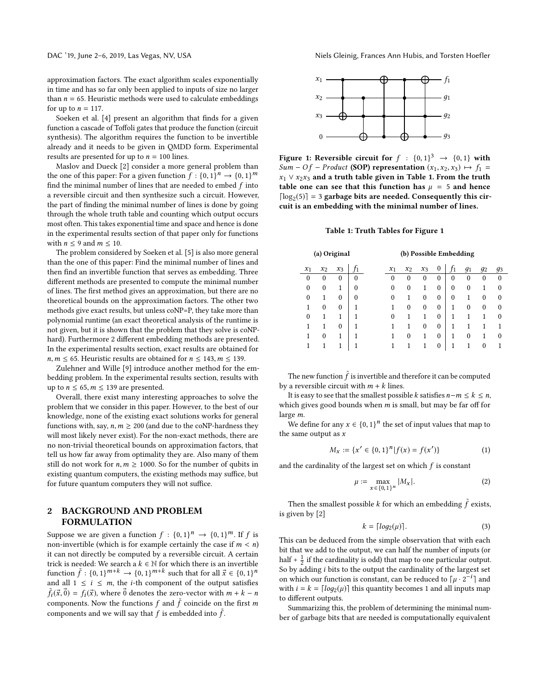approximation factors. The exact algorithm scales exponentially in time and has so far only been applied to inputs of size no larger than  $n = 65$ . Heuristic methods were used to calculate embeddings for up to  $n = 117$ .

Soeken et al. [4] present an algorithm that finds for a given function a cascade of Toffoli gates that produce the function (circuit synthesis). The algorithm requires the function to be invertible already and it needs to be given in QMDD form. Experimental results are presented for up to  $n = 100$  lines.

Maslov and Dueck [2] consider a more general problem than the one of this paper: For a given function  $f: \{0, 1\}^n \rightarrow \{0, 1\}^m$ find the minimal number of lines that are needed to embed  $f$  into a reversible circuit and then synthesize such a circuit. However, the part of finding the minimal number of lines is done by going through the whole truth table and counting which output occurs most often. This takes exponential time and space and hence is done in the experimental results section of that paper only for functions with  $n \leq 9$  and  $m \leq 10$ .

The problem considered by Soeken et al. [5] is also more general than the one of this paper: Find the minimal number of lines and then find an invertible function that serves as embedding. Three different methods are presented to compute the minimal number of lines. The first method gives an approximation, but there are no theoretical bounds on the approximation factors. The other two methods give exact results, but unless coNP=P, they take more than polynomial runtime (an exact theoretical analysis of the runtime is not given, but it is shown that the problem that they solve is coNPhard). Furthermore 2 different embedding methods are presented. In the experimental results section, exact results are obtained for  $n, m \leq 65$ . Heuristic results are obtained for  $n \leq 143, m \leq 139$ .

Zulehner and Wille [9] introduce another method for the embedding problem. In the experimental results section, results with up to  $n \leq 65$ ,  $m \leq 139$  are presented.

Overall, there exist many interesting approaches to solve the problem that we consider in this paper. However, to the best of our knowledge, none of the existing exact solutions works for general functions with, say,  $n, m \ge 200$  (and due to the coNP-hardness they will most likely never exist). For the non-exact methods, there are no non-trivial theoretical bounds on approximation factors, that tell us how far away from optimality they are. Also many of them still do not work for  $n, m \ge 1000$ . So for the number of qubits in existing quantum computers, the existing methods may suffice, but for future quantum computers they will not suffice.

# **2 BACKGROUND AND PROBLEM FORMULATION**

Suppose we are given a function  $f : \{0,1\}^n \to \{0,1\}^m$ . If f is non-invertible (which is for example certainly the case if  $m < n$ ) it can not directly be computed by a reversible circuit. A certain trick is needed: We search a  $k \in \mathbb{N}$  for which there is an invertible function  $\tilde{f}: \{0,1\}^{m+k} \to \{0,1\}^{m+k}$  such that for all  $\vec{x} \in \{0,1\}^n$ and all  $1 \le i \le m$ , the *i*-th component of the output satisfies  $\tilde{f}_i(\vec{x},\vec{0}) = f_i(\vec{x})$ , where  $\vec{0}$  denotes the zero-vector with  $m + k - n$ components. Now the functions  $f$  and  $\tilde{f}$  coincide on the first  $m$ components and we will say that  $f$  is embedded into  $\tilde{f}$ .



**Figure 1: Reversible circuit for**  $f : \{0,1\}^3 \rightarrow \{0,1\}$  with Sum – Of – Product **(SOP) representation**  $(x_1, x_2, x_3)$   $\mapsto$   $f_1$  = x<sup>1</sup> ∨ x2x<sup>3</sup> **and a truth table given in Table 1. From the truth table one can see that this function has**  $\mu = 5$  and hence [ $log_2(5)$ ] = 3 garbage bits are needed. Consequently this cir**cuit is an embedding with the minimal number of lines.**

### **Table 1: Truth Tables for Figure 1**

| (a) Original |          |              |          | (b) Possible Embedding |          |          |                  |          |                |          |          |  |
|--------------|----------|--------------|----------|------------------------|----------|----------|------------------|----------|----------------|----------|----------|--|
| $x_1$        | $x_2$    | $x_3$        | T1       | $x_1$                  | $x_2$    | $x_3$    | 0                | Ť1       | q <sub>1</sub> | $g_2$    | 93       |  |
| $\theta$     | 0        | $\theta$     | $\theta$ | 0                      | 0        | $\theta$ | $\Omega$         | 0        | 0              | $\theta$ | $\Omega$ |  |
| $\theta$     | 0        | 1            | $\theta$ | $\theta$               | $\theta$ |          | $\boldsymbol{0}$ | $\theta$ | $\theta$       | 1        | 0        |  |
| $\theta$     |          | $\theta$     | $\theta$ | 0                      |          | $\theta$ | $\theta$         | $\theta$ |                | $\theta$ | 0        |  |
|              | 0        | $\mathbf{0}$ | 1        | 1                      | $\theta$ | $\theta$ | $\boldsymbol{0}$ | 1        | $\theta$       | $\theta$ | 0        |  |
| $\theta$     |          | 1            | 1        | 0                      |          |          | $\theta$         | 1        |                |          | 0        |  |
|              |          | $\theta$     | 1        |                        |          | $\theta$ | $\theta$         |          |                |          | 1        |  |
| 1            | $\theta$ | 1            | 1        |                        | $\theta$ |          | $\theta$         | 1        | $\theta$       | 1        | 0        |  |
|              |          | 1            | 1        |                        |          |          | $\theta$         | 1        |                | 0        |          |  |

The new function  $\tilde{f}$  is invertible and therefore it can be computed by a reversible circuit with  $m + k$  lines.

It is easy to see that the smallest possible *k* satisfies  $n-m \leq k \leq n$ , which gives good bounds when  $m$  is small, but may be far off for large m.

We define for any  $x \in \{0, 1\}^n$  the set of input values that map to the same output as  $x$ 

$$
M_x := \{x' \in \{0, 1\}^n | f(x) = f(x')\}
$$
 (1)

and the cardinality of the largest set on which  $f$  is constant

$$
\mu := \max_{x \in \{0,1\}^n} |M_x|.
$$
 (2)

Then the smallest possible  $k$  for which an embedding  $\tilde{f}$  exists, is given by [2]

$$
k = \lceil \log_2(\mu) \rceil. \tag{3}
$$

This can be deduced from the simple observation that with each bit that we add to the output, we can half the number of inputs (or half  $+$   $\frac{1}{2}$  if the cardinality is odd) that map to one particular output. So by adding i bits to the output the cardinality of the largest set on which our function is constant, can be reduced to  $\lceil \mu \cdot 2^{-i} \rceil$  and with  $i = k = \lfloor log_2(\mu) \rfloor$  this quantity becomes 1 and all inputs map to different outputs.

Summarizing this, the problem of determining the minimal number of garbage bits that are needed is computationally equivalent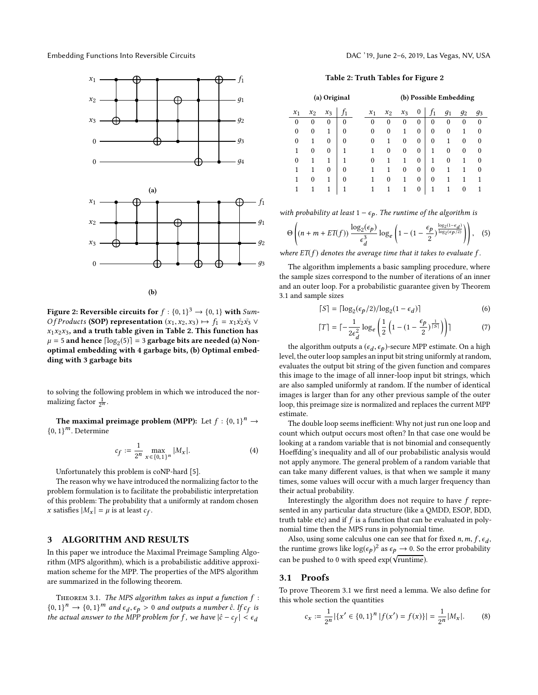

**(b)**

**Figure 2: Reversible circuits for**  $f : \{0, 1\}^3 \rightarrow \{0, 1\}$  with Sum-*Of Products* **(SOP) representation**  $(x_1, x_2, x_3) \mapsto f_1 = x_1 \overline{x_2} \overline{x_3}$  ∨  $x_1x_2x_3$ , and a truth table given in Table 2. This function has  $\mu = 5$  and hence  $\lceil \log_2(5) \rceil = 3$  garbage bits are needed (a) Non**optimal embedding with 4 garbage bits, (b) Optimal embedding with 3 garbage bits**

to solving the following problem in which we introduced the normalizing factor  $\frac{1}{2^n}$ .

**The maximal preimage problem (MPP):** Let  $f : \{0, 1\}^n \rightarrow$  ${0, 1}^m$ . Determine

$$
c_f := \frac{1}{2^n} \max_{x \in \{0,1\}^n} |M_x|.
$$
 (4)

Unfortunately this problem is coNP-hard [5].

The reason why we have introduced the normalizing factor to the problem formulation is to facilitate the probabilistic interpretation of this problem: The probability that a uniformly at random chosen x satisfies  $|M_x| = \mu$  is at least  $c_f$ .

# **3 ALGORITHM AND RESULTS**

In this paper we introduce the Maximal Preimage Sampling Algorithm (MPS algorithm), which is a probabilistic additive approximation scheme for the MPP. The properties of the MPS algorithm are summarized in the following theorem.

THEOREM 3.1. The MPS algorithm takes as input a function  $f$ :  ${0, 1}^n \rightarrow {0, 1}^m$  and  $\epsilon_d, \epsilon_p > 0$  and outputs a number ĉ. If  $c_f$  is the actual answer to the MPP problem for f, we have  $|\hat{c} - c_f| < \epsilon_d$ 

### **Table 2: Truth Tables for Figure 2**

| (a) Original |          |          |   |  | (b) Possible Embedding |          |          |              |          |          |                |       |  |  |
|--------------|----------|----------|---|--|------------------------|----------|----------|--------------|----------|----------|----------------|-------|--|--|
| $x_1$        | $x_2$    | $x_3$    |   |  | $x_1$                  | $x_2$    | $x_3$    | $\mathbf{0}$ |          | $g_1$    | g <sub>2</sub> | $g_3$ |  |  |
| $\theta$     | $\theta$ | 0        | 0 |  | $\theta$               | 0        | $\theta$ | 0            | 0        | 0        | 0              | 0     |  |  |
| $\theta$     | $\theta$ | 1        | 0 |  | $\theta$               | $\theta$ | 1        | $\theta$     | $\theta$ | 0        | 1              | 0     |  |  |
| $\theta$     |          | 0        | 0 |  | 0                      | 1        | $\theta$ | $\theta$     | $\theta$ | 1        | $\theta$       | 0     |  |  |
| 1            | $\theta$ | 0        | 1 |  | 1                      | $\theta$ | 0        | $\theta$     | 1        | $\theta$ | 0              | 0     |  |  |
| 0            |          |          |   |  | 0                      |          |          | $\theta$     | 1        | 0        | 1              | 0     |  |  |
| 1            |          | $\theta$ | 0 |  |                        |          | $\theta$ | $\mathbf{0}$ | $\theta$ | 1        |                | 0     |  |  |
| 1            | $\Omega$ | 1        | 0 |  | 1                      | $\theta$ | 1        | $\theta$     | $\theta$ | 1        | 1              |       |  |  |
|              |          |          |   |  |                        |          |          | 0            |          |          | 0              |       |  |  |

with probability at least  $1 - \epsilon_p$ . The runtime of the algorithm is

$$
\Theta\left((n+m+E T(f))\frac{\log_2(\epsilon_p)}{\epsilon_d^3}\log_e\left(1-(1-\frac{\epsilon_p}{2})^{\frac{\log_2(1-\epsilon_d)}{\log_2(\epsilon_p/2)}}\right)\right),\quad(5)
$$

where  $ET(f)$  denotes the average time that it takes to evaluate f.

The algorithm implements a basic sampling procedure, where the sample sizes correspond to the number of iterations of an inner and an outer loop. For a probabilistic guarantee given by Theorem 3.1 and sample sizes

$$
\lceil S \rceil = \lceil \log_2(\epsilon_p/2) / \log_2(1 - \epsilon_d) \rceil \tag{6}
$$

$$
\lceil T \rceil = \lceil -\frac{1}{2\epsilon_d^2} \log_e \left( \frac{1}{2} \left( 1 - (1 - \frac{\epsilon_p}{2})^{\frac{1}{\lceil S \rceil}} \right) \right) \rceil \tag{7}
$$

the algorithm outputs a ( $\epsilon_d$ ,  $\epsilon_p$ )-secure MPP estimate. On a high level, the outer loop samples an input bit string uniformly at random, evaluates the output bit string of the given function and compares this image to the image of all inner-loop input bit strings, which are also sampled uniformly at random. If the number of identical images is larger than for any other previous sample of the outer loop, this preimage size is normalized and replaces the current MPP estimate.

The double loop seems inefficient: Why not just run one loop and count which output occurs most often? In that case one would be looking at a random variable that is not binomial and consequently Hoeffding's inequality and all of our probabilistic analysis would not apply anymore. The general problem of a random variable that can take many different values, is that when we sample it many times, some values will occur with a much larger frequency than their actual probability.

Interestingly the algorithm does not require to have f represented in any particular data structure (like a QMDD, ESOP, BDD, truth table etc) and if  $f$  is a function that can be evaluated in polynomial time then the MPS runs in polynomial time.

Also, using some calculus one can see that for fixed  $n, m, f, \epsilon_d$ , the runtime grows like  $\log(\epsilon_p)^2$  as  $\epsilon_p \rightarrow 0$ . So the error probability can be pushed to 0 with speed  $\exp(\sqrt{\text{runtime}})$ .

### **3.1 Proofs**

To prove Theorem 3.1 we first need a lemma. We also define for this whole section the quantities

$$
c_x := \frac{1}{2^n} |\{x' \in \{0, 1\}^n | f(x') = f(x)\}| = \frac{1}{2^n} |M_x|.
$$
 (8)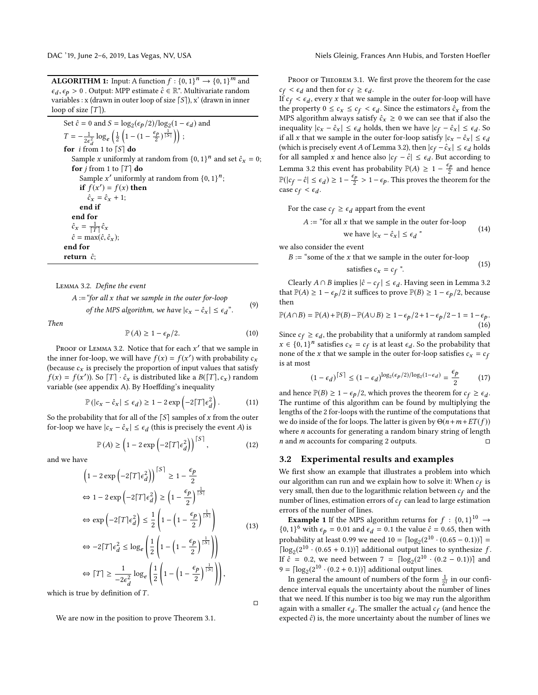**ALGORITHM 1:** Input: A function  $f : \{0, 1\}^n \rightarrow \{0, 1\}^m$  and  $\epsilon_d, \epsilon_p > 0$ . Output: MPP estimate  $\hat{c} \in \mathbb{R}^n$ . Multivariate random variables : x (drawn in outer loop of size  $\lceil S \rceil$ ), x' (drawn in inner loop of size  $[T]$ ).

Set  $\hat{c} = 0$  and  $S = \log_2(\epsilon_p/2)/\log_2(1 - \epsilon_d)$  and  $T = -\frac{1}{2\epsilon_d^2} \log_e \left( \frac{1}{2} \left( 1 - \left( 1 - \frac{\epsilon_p}{2} \right)^{\frac{1}{|S|}} \right) \right);$ **for** i from 1 to  $\lceil S \rceil$  **do** Sample *x* uniformly at random from  $\{0, 1\}^n$  and set  $\hat{c}_x = 0$ ; **for**  $j$  from 1 to  $[T]$  **do** Sample x' uniformly at random from  $\{0, 1\}^n$ ; **if**  $f(x') = f(x)$  **then**  $\hat{c}_x = \hat{c}_x + 1;$ **end if end for**  $\hat{c}_x = \frac{1}{\lceil T \rceil} \hat{c}_x$  $\hat{c} = \max(\hat{c}, \hat{c}_x);$ **end for return**  $\hat{c}$ ;

Lemma 3.2. Define the event

 $A := \text{``for all } x \text{ that we sample in the outer for-loop}$ of the MPS algorithm, we have  $|c_x - \hat{c}_x| \leq \epsilon_d$ ". (9)

Then

$$
\mathbb{P}(A) \ge 1 - \epsilon_p/2. \tag{10}
$$

PROOF OF LEMMA 3.2. Notice that for each  $x'$  that we sample in the inner for-loop, we will have  $f(x) = f(x')$  with probability  $c_x$ (because  $c_x$  is precisely the proportion of input values that satisfy  $f(x) = f(x')$ ). So  $[T] \cdot \hat{c}_x$  is distributed like a  $B([T], c_x)$  random variable (see appendix A). By Hoeffding's inequality

$$
\mathbb{P}(|c_x - \hat{c}_x| \le \epsilon_d) \ge 1 - 2 \exp\left(-2\lceil T|\epsilon_d^2\right). \tag{11}
$$

So the probability that for all of the  $\lceil S \rceil$  samples of x from the outer for-loop we have  $|c_x - \hat{c}_x| \leq \epsilon_d$  (this is precisely the event *A*) is

$$
\mathbb{P}(A) \ge \left(1 - 2\exp\left(-2\lceil T \rceil \epsilon_d^2\right)\right)^{\lceil S \rceil},\tag{12}
$$

and we have

$$
\left(1 - 2 \exp\left(-2\lceil T \rceil \epsilon_d^2\right)\right)^{\lceil S \rceil} \ge 1 - \frac{\epsilon_p}{2}
$$
\n
$$
\Leftrightarrow 1 - 2 \exp\left(-2\lceil T \rceil \epsilon_d^2\right) \ge \left(1 - \frac{\epsilon_p}{2}\right)^{\frac{1}{\lceil S \rceil}}
$$
\n
$$
\Leftrightarrow \exp\left(-2\lceil T \rceil \epsilon_d^2\right) \le \frac{1}{2} \left(1 - \left(1 - \frac{\epsilon_p}{2}\right)^{\frac{1}{\lceil S \rceil}}\right)
$$
\n
$$
\Leftrightarrow -2\lceil T \rceil \epsilon_d^2 \le \log_e \left(\frac{1}{2} \left(1 - \left(1 - \frac{\epsilon_p}{2}\right)^{\frac{1}{\lceil S \rceil}}\right)\right)
$$
\n
$$
\Leftrightarrow \lceil T \rceil \ge \frac{1}{-2\epsilon_d^2} \log_e \left(\frac{1}{2} \left(1 - \left(1 - \frac{\epsilon_p}{2}\right)^{\frac{1}{\lceil S \rceil}}\right)\right),
$$
\nand

 $\Box$ 

which is true by definition of  $T$ .

We are now in the position to prove Theorem 3.1.

PROOF OF THEOREM 3.1. We first prove the theorem for the case  $c_f < \epsilon_d$  and then for  $c_f \geq \epsilon_d$ .

If  $c_f < \epsilon_d$ , every x that we sample in the outer for-loop will have the property  $0 \leq c_x \leq c_f < \epsilon_d$ . Since the estimators  $\hat{c}_x$  from the MPS algorithm always satisfy  $\hat{c}_x \ge 0$  we can see that if also the inequality  $|c_x - \hat{c}_x| \leq \epsilon_d$  holds, then we have  $|c_f - \hat{c}_x| \leq \epsilon_d$ . So if all x that we sample in the outer for-loop satisfy  $|c_x - \hat{c}_x| \leq \epsilon_d$ (which is precisely event A of Lemma 3.2), then  $|c_f - c_x| \leq \epsilon_d$  holds for all sampled x and hence also  $|c_f - \hat{c}| \leq \epsilon_d$ . But according to Lemma 3.2 this event has probability  $\mathbb{P}(A) \ge 1 - \frac{\epsilon_p}{2}$  and hence  $\mathbb{P}(|c_f - \hat{c}| \le \epsilon_d) \ge 1 - \frac{\epsilon_p}{2} > 1 - \epsilon_p$ . This proves the theorem for the case  $c_f < \epsilon_d$ .

For the case  $c_f \geq \epsilon_d$  appart from the event

$$
A := "for all x that we sample in the outer for-loopwe have  $|c_x - \hat{c}_x| \le \epsilon_d"$  (14)
$$

we also consider the event

 $B :=$  "some of the x that we sample in the outer for-loop

satisfies 
$$
c_x = c_f
$$
 ". (15)

Clearly  $A \cap B$  implies  $|\hat{c} - c_f| \leq \epsilon_d.$  Having seen in Lemma 3.2 that  $\mathbb{P}(A)$  ≥ 1 −  $\epsilon_p/2$  it suffices to prove  $\mathbb{P}(B)$  ≥ 1 −  $\epsilon_p/2$ , because then

$$
\mathbb{P}(A \cap B) = \mathbb{P}(A) + \mathbb{P}(B) - \mathbb{P}(A \cup B) \ge 1 - \epsilon_p/2 + 1 - \epsilon_p/2 - 1 = 1 - \epsilon_p.
$$
\n(16)

Since  $c_f \geq \epsilon_d$ , the probability that a uniformly at random sampled  $x \in \{0,1\}^n$  satisfies  $c_x = c_f$  is at least  $\epsilon_d$ . So the probability that none of the x that we sample in the outer for-loop satisfies  $c_x = c_f$ is at most

$$
(1 - \epsilon_d)^{\lceil S \rceil} \le (1 - \epsilon_d)^{\log_2(\epsilon_p/2)/\log_2(1 - \epsilon_d)} = \frac{\epsilon_p}{2}
$$
 (17)

and hence  $\mathbb{P}(B) \ge 1 - \epsilon_p/2$ , which proves the theorem for  $c_f \ge \epsilon_d$ . The runtime of this algorithm can be found by multiplying the lengths of the 2 for-loops with the runtime of the computations that we do inside of the for loops. The latter is given by  $\Theta(n+m+ET(f))$ where *n* accounts for generating a random binary string of length *n* and *m* accounts for comparing 2 outputs.  $\Box$ 

### **3.2 Experimental results and examples**

We first show an example that illustrates a problem into which our algorithm can run and we explain how to solve it: When  $c_f$  is very small, then due to the logarithmic relation between  $c_f$  and the number of lines, estimation errors of  $c_f$  can lead to large estimation errors of the number of lines.

**Example 1** If the MPS algorithm returns for  $f : \{0, 1\}^{10} \rightarrow$  $\{0, 1\}^6$  with  $\epsilon_p = 0.01$  and  $\epsilon_d = 0.1$  the value  $\hat{c} = 0.65$ , then with probability at least 0.99 we need  $10 = \lceil \log_2(2^{10} \cdot (0.65 - 0.1)) \rceil$  = [ $\log_2(2^{10} \cdot (0.65 + 0.1))$ ] additional output lines to synthesize f. If  $\hat{c} = 0.2$ , we need between  $7 = \lceil \log_2(2^{10} \cdot (0.2 - 0.1)) \rceil$  and  $9 = \lceil \log_2(2^{10} \cdot (0.2 + 0.1)) \rceil$  additional output lines.

In general the amount of numbers of the form  $\frac{1}{2^i}$  in our confidence interval equals the uncertainty about the number of lines that we need. If this number is too big we may run the algorithm again with a smaller  $\epsilon_d$ . The smaller the actual  $c_f$  (and hence the expected  $\hat{c}$ ) is, the more uncertainty about the number of lines we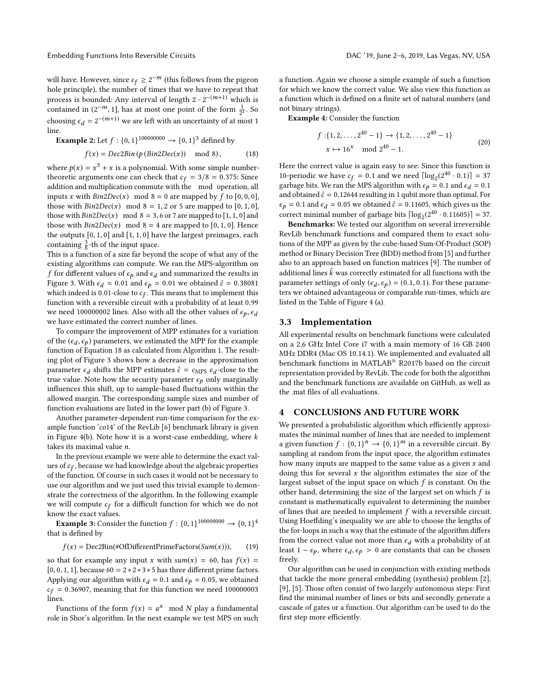will have. However, since  $c_f \geq 2^{-m}$  (this follows from the pigeon hole principle), the number of times that we have to repeat that process is bounded: Any interval of length  $2 \cdot 2^{-(m+1)}$  which is contained in  $(2^{-m}, 1]$ , has at most one point of the form  $\frac{1}{2^{i}}$ . So choosing  $\epsilon_d = 2^{-(m+1)}$  we are left with an uncertainty of at most 1 line.

**Example 2:** Let 
$$
f : \{0, 1\}^{10000000} \rightarrow \{0, 1\}^3
$$
 defined by

$$
f(x) = Dec2Bin(p(Bin2Dec(x)) \mod 8), \tag{18}
$$

where  $p(x) = x^3 + x$  is a polynomial. With some simple numbertheoretic arguments one can check that  $c_f = 3/8 = 0.375$ : Since addition and multiplication commute with the mod operation, all inputs x with  $Bin2Dec(x) \mod 8 = 0$  are mapped by f to [0, 0, 0], those with  $Bin2Dec(x) \mod 8 = 1, 2 \text{ or } 5$  are mapped to  $[0, 1, 0]$ , those with  $Bin2Dec(x) \mod 8 = 3, 6$  or 7 are mapped to [1, 1, 0] and those with  $Bin2Dec(x) \mod 8 = 4$  are mapped to [0, 1, 0]. Hence the outputs [0, 1, 0] and [1, 1, 0] have the largest preimages, each containing  $\frac{3}{8}$ -th of the input space.

This is a function of a size far beyond the scope of what any of the existing algorithms can compute. We ran the MPS-algorithm on f for different values of  $\epsilon_p$  and  $\epsilon_d$  and summarized the results in Figure 3. With  $\epsilon_d = 0.01$  and  $\epsilon_p = 0.01$  we obtained  $\hat{c} = 0.38081$ which indeed is 0.01-close to  $c_f$ . This means that to implement this function with a reversible circuit with a probability of at least 0.99 we need 100000002 lines. Also with all the other values of  $\epsilon_p$ ,  $\epsilon_d$ we have estimated the correct number of lines.

To compare the improvement of MPP estimates for a variation of the ( $\epsilon_d$ ,  $\epsilon_p$ ) parameters, we estimated the MPP for the example function of Equation 18 as calculated from Algorithm 1. The resulting plot of Figure 3 shows how a decrease in the approximation parameter  $\epsilon_d$  shifts the MPP estimates  $\hat{c} = c_{MPS} \epsilon_d$ -close to the true value. Note how the security parameter  $\epsilon_p$  only marginally influences this shift, up to sample-based fluctuations within the allowed margin. The corresponding sample sizes and number of function evaluations are listed in the lower part (b) of Figure 3.

Another parameter-dependent run-time comparison for the example function 'co14' of the RevLib [6] benchmark library is given in Figure 4(b). Note how it is a worst-case embedding, where  $k$ takes its maximal value n.

In the previous example we were able to determine the exact values of  $c_f$ , because we had knowledge about the algebraic properties of the function. Of course in such cases it would not be necessary to use our algorithm and we just used this trivial example to demonstrate the correctness of the algorithm. In the following example we will compute  $c_f$  for a difficult function for which we do not know the exact values.

**Example 3:** Consider the function  $f : \{0, 1\}^{10000000} \rightarrow \{0, 1\}^4$ that is defined by

$$
f(x) = \text{Dec2Bin}(\# \text{OfDifferentPrimeFactors}(Sum(x))), \qquad (19)
$$

so that for example any input x with  $sum(x) = 60$ , has  $f(x) =$ [0, 0, 1, 1], because  $60 = 2 * 2 * 3 * 5$  has three different prime factors. Applying our algorithm with  $\epsilon_d = 0.1$  and  $\epsilon_p = 0.05$ , we obtained  $c_f$  = 0.36907, meaning that for this function we need 100000003 lines.

Functions of the form  $f(x) = a^x \mod N$  play a fundamental role in Shor's algorithm. In the next example we test MPS on such a function. Again we choose a simple example of such a function for which we know the correct value. We also view this function as a function which is defined on a finite set of natural numbers (and not binary strings).

**Example 4:** Consider the function

$$
f: \{1, 2, ..., 2^{40} - 1\} \to \{1, 2, ..., 2^{40} - 1\}
$$
  

$$
x \mapsto 16^x \mod 2^{40} - 1.
$$
 (20)

Here the correct value is again easy to see: Since this function is 10-periodic we have  $c_f = 0.1$  and we need  $\lceil \log_2(2^{40} \cdot 0.1) \rceil = 37$ garbage bits. We ran the MPS algorithm with  $\epsilon_p = 0.1$  and  $\epsilon_d = 0.1$ and obtained  $\hat{c} = 0.12644$  resulting in 1 qubit more than optimal. For  $\epsilon_p = 0.1$  and  $\epsilon_d = 0.05$  we obtained  $\hat{c} = 0.11605$ , which gives us the correct minimal number of garbage bits  $\lceil \log_2(2^{40} \cdot 0.11605) \rceil = 37$ .

**Benchmarks:** We tested our algorithm on several irreversible RevLib benchmark functions and compared them to exact solutions of the MPP as given by the cube-based Sum-Of-Product (SOP) method or Binary Decision Tree (BDD) method from [5] and further also to an approach based on function matrices [9]. The number of additional lines  $\hat{k}$  was correctly estimated for all functions with the parameter settings of only ( $\epsilon_d$ ,  $\epsilon_p$ ) = (0.1, 0.1). For these parameters we obtained advantageous or comparable run-times, which are listed in the Table of Figure 4 (a).

# **3.3 Implementation**

All experimental results on benchmark functions were calculated on a 2.6 GHz Intel Core i7 with a main memory of 16 GB 2400 MHz DDR4 (Mac OS 10.14.1). We implemented and evaluated all benchmark functions in MATLAB® R2017b based on the circuit representation provided by RevLib. The code for both the algorithm and the benchmark functions are available on GitHub, as well as the .mat files of all evaluations.

## **4 CONCLUSIONS AND FUTURE WORK**

We presented a probabilistic algorithm which efficiently approximates the minimal number of lines that are needed to implement a given function  $f : \{0,1\}^n \rightarrow \{0,1\}^m$  in a reversible circuit. By sampling at random from the input space, the algorithm estimates how many inputs are mapped to the same value as a given  $x$  and doing this for several  $x$  the algorithm estimates the size of the largest subset of the input space on which  $f$  is constant. On the other hand, determining the size of the largest set on which  $f$  is constant is mathematically equivalent to determining the number of lines that are needed to implement  $f$  with a reversible circuit. Using Hoeffding's inequality we are able to choose the lengths of the for-loops in such a way that the estimate of the algorithm differs from the correct value not more than  $\epsilon_d$  with a probability of at least 1 –  $\epsilon_p$ , where  $\epsilon_d$ ,  $\epsilon_p > 0$  are constants that can be chosen freely.

Our algorithm can be used in conjunction with existing methods that tackle the more general embedding (synthesis) problem [2], [9], [5]. Those often consist of two largely autonomous steps: First find the minimal number of lines or bits and secondly generate a cascade of gates or a function. Our algorithm can be used to do the first step more efficiently.